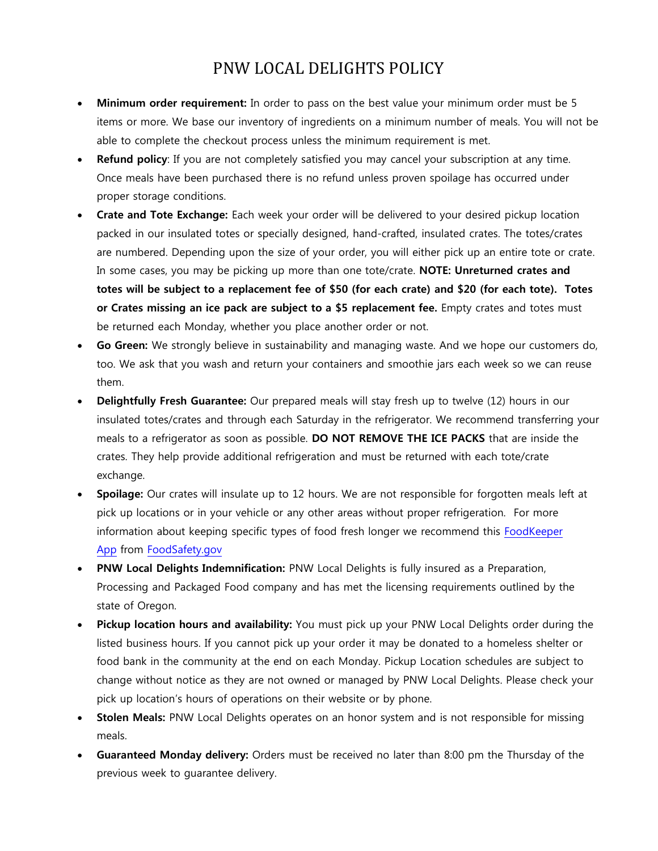## PNW LOCAL DELIGHTS POLICY

- **Minimum order requirement:** In order to pass on the best value your minimum order must be 5 items or more. We base our inventory of ingredients on a minimum number of meals. You will not be able to complete the checkout process unless the minimum requirement is met.
- **Refund policy**: If you are not completely satisfied you may cancel your subscription at any time. Once meals have been purchased there is no refund unless proven spoilage has occurred under proper storage conditions.
- **Crate and Tote Exchange:** Each week your order will be delivered to your desired pickup location packed in our insulated totes or specially designed, hand-crafted, insulated crates. The totes/crates are numbered. Depending upon the size of your order, you will either pick up an entire tote or crate. In some cases, you may be picking up more than one tote/crate. **NOTE: Unreturned crates and totes will be subject to a replacement fee of \$50 (for each crate) and \$20 (for each tote). Totes or Crates missing an ice pack are subject to a \$5 replacement fee.** Empty crates and totes must be returned each Monday, whether you place another order or not.
- **Go Green:** We strongly believe in sustainability and managing waste. And we hope our customers do, too. We ask that you wash and return your containers and smoothie jars each week so we can reuse them.
- **Delightfully Fresh Guarantee:** Our prepared meals will stay fresh up to twelve (12) hours in our insulated totes/crates and through each Saturday in the refrigerator. We recommend transferring your meals to a refrigerator as soon as possible. **DO NOT REMOVE THE ICE PACKS** that are inside the crates. They help provide additional refrigeration and must be returned with each tote/crate exchange.
- **Spoilage:** Our crates will insulate up to 12 hours. We are not responsible for forgotten meals left at pick up locations or in your vehicle or any other areas without proper refrigeration. For more information about keeping specific types of food fresh longer we recommend this [FoodKeeper](http://www.foodsafety.gov/keep/foodkeeperapp/index.html)  [App](http://www.foodsafety.gov/keep/foodkeeperapp/index.html) from [FoodSafety.gov](http://www.foodsafety.gov/)
- **PNW Local Delights Indemnification:** PNW Local Delights is fully insured as a Preparation, Processing and Packaged Food company and has met the licensing requirements outlined by the state of Oregon.
- **Pickup location hours and availability:** You must pick up your PNW Local Delights order during the listed business hours. If you cannot pick up your order it may be donated to a homeless shelter or food bank in the community at the end on each Monday. Pickup Location schedules are subject to change without notice as they are not owned or managed by PNW Local Delights. Please check your pick up location's hours of operations on their website or by phone.
- **Stolen Meals:** PNW Local Delights operates on an honor system and is not responsible for missing meals.
- **Guaranteed Monday delivery:** Orders must be received no later than 8:00 pm the Thursday of the previous week to guarantee delivery.